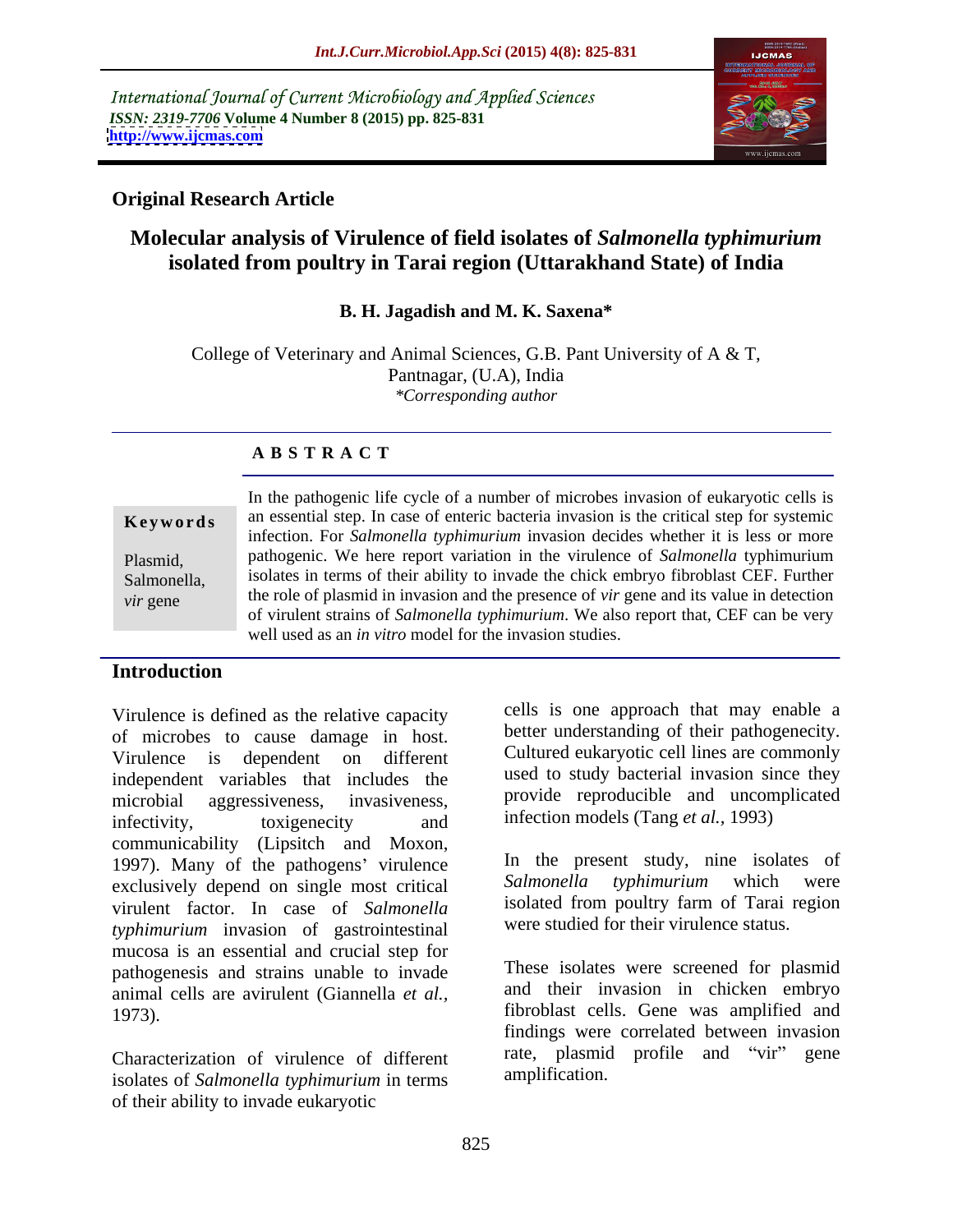International Journal of Current Microbiology and Applied Sciences *ISSN: 2319-7706* **Volume 4 Number 8 (2015) pp. 825-831 <http://www.ijcmas.com>**



## **Original Research Article**

# **Molecular analysis of Virulence of field isolates of** *Salmonella typhimurium* **isolated from poultry in Tarai region (Uttarakhand State) of India**

### **B. H. Jagadish and M. K. Saxena\***

College of Veterinary and Animal Sciences, G.B. Pant University of A & T, Pantnagar, (U.A), India *\*Corresponding author*

## **A B S T R A C T**

In the pathogenic life cycle of a number of microbes invasion of eukaryotic cells is an essential step. In case of enteric bacteria invasion is the critical step for systemic **Ke ywo rds** infection. For *Salmonella typhimurium* invasion decides whether it is less or more pathogenic. We here report variation in the virulence of *Salmonella* typhimurium Plasmid, isolates in terms of their ability to invade the chick embryo fibroblast CEF. Further Salmonella, the role of plasmid in invasion and the presence of *vir* gene and its value in detection of virulent strains of *Salmonella typhimurium*. We also report that, CEF can be very well used as an *in vitro* model for the invasion studies. *vir* gene

## **Introduction**

Virulence is defined as the relative capacity of microbes to cause damage in host. Virulence is dependent on different Cultured eukaryotic cell lines are commonly independent variables that includes the microbial aggressiveness, invasiveness, infectivity, toxigenecity and infection models (Tang *et al.*, 1993) communicability (Lipsitch and Moxon, 1997). Many of the pathogens' virulence <br>exclusively depend on single most critical Salmonella typhimurium which were exclusively depend on single most critical virulent factor. In case of *Salmonella typhimurium* invasion of gastrointestinal mucosa is an essential and crucial step for pathogenesis and strains unable to invade animal cells are avirulent (Giannella *et al.,* 1973). fibroblast cells. Gene was amplified and

isolates of *Salmonella typhimurium* in terms of their ability to invade eukaryotic

cells is one approach that may enable a better understanding of their pathogenecity. used to study bacterial invasion since they provide reproducible and uncomplicated infection models (Tang *et al.,* 1993)

In the present study, nine isolates of *Salmonella typhimurium* which were isolated from poultry farm of Tarai region were studied for their virulence status.

Characterization of virulence of different rate, plasmid profile and "vir" gene<br>isolates of Salmonalla probinquium in terms amplification. These isolates were screened for plasmid and their invasion in chicken embryo findings were correlated between invasion rate, plasmid profile and "vir" amplification.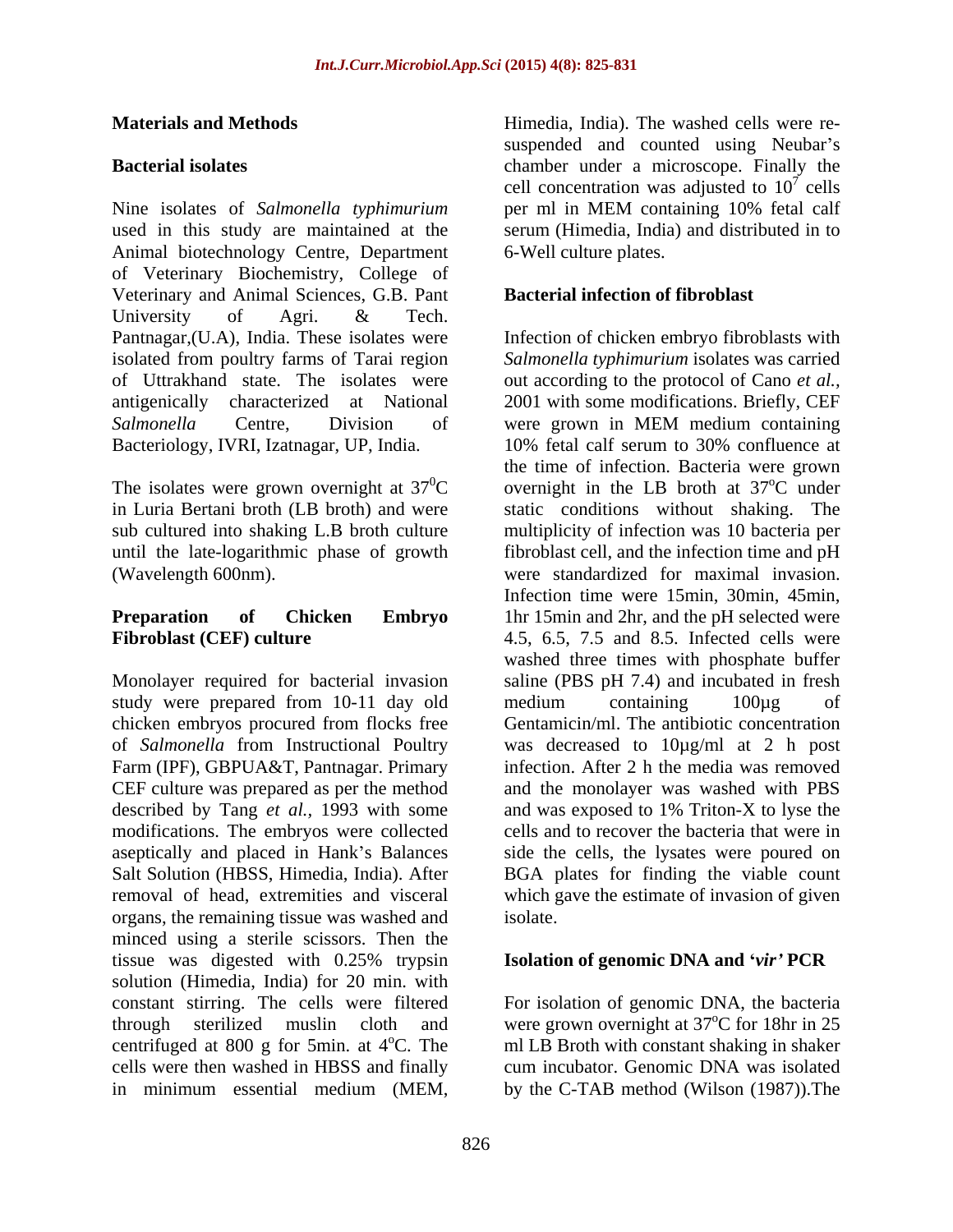Nine isolates of *Salmonella typhimurium* used in this study are maintained at the serum (Himedia, India) and distributed in to Animal biotechnology Centre, Department of Veterinary Biochemistry, College of Veterinary and Animal Sciences, G.B. Pant University of Agri. & Tech. Pantnagar,(U.A), India. These isolates were Infection of chicken embryo fibroblasts with isolated from poultry farms of Tarai region *Salmonella typhimurium* isolates was carried of Uttrakhand state. The isolates were out according to the protocol of Cano *et al.,* antigenically characterized at National 2001 with some modifications. Briefly, CEF *Salmonella* Centre, Division of were grown in MEM medium containing Bacteriology, IVRI, Izatnagar, UP, India. 10% fetal calf serum to 30% confluence at

The isolates were grown overnight at  $37^0C$ 

Monolayer required for bacterial invasion saline (PBS pH 7.4) and incubated in fresh study were prepared from 10-11 day old medium containing 100µg of chicken embryos procured from flocks free of *Salmonella* from Instructional Poultry was decreased to 10µg/ml at 2 h post Farm (IPF), GBPUA&T, Pantnagar. Primary infection. After 2 h the media was removed CEF culture was prepared as per the method described by Tang *et al.,* 1993 with some modifications. The embryos were collected aseptically and placed in Hank's Balances Salt Solution (HBSS, Himedia, India). After BGA plates for finding the viable count removal of head, extremities and visceral which gave the estimate of invasion of given organs, the remaining tissue was washed and minced using a sterile scissors. Then the tissue was digested with 0.25% trypsin **Isolation of genomic DNA and 'vir' PCR** solution (Himedia, India) for 20 min. with constant stirring. The cells were filtered through sterilized muslin cloth and were grown overnight at  $37^{\circ}$ C for 18hr in 25 centrifuged at 800 g for 5min. at  $4^{\circ}$ C. The cells were then washed in HBSS and finally cum incubator. Genomic DNA was isolated in minimum essential medium (MEM, by the C-TAB method (Wilson (1987)).The

**Materials and Methods** Himedia, India). The washed cells were re- **Bacterial isolates** chamber under a microscope. Finally the suspended and counted using Neubar's cell concentration was adjusted to  $10^7$  cells  $^7$  colle cells per ml in MEM containing 10% fetal calf 6-Well culture plates.

### **Bacterial infection of fibroblast**

 ${}^{0}C$  overnight in the LB broth at  $37^{\circ}C$  under in Luria Bertani broth (LB broth) and were static conditions without shaking. The sub cultured into shaking L.B broth culture multiplicity of infection was 10 bacteria per until the late-logarithmic phase of growth fibroblast cell, and the infection time and pH (Wavelength 600nm). were standardized for maximal invasion. **Preparation** of **Chicken Embryo** 1hr 15min and 2hr, and the pH selected were **Fibroblast (CEF) culture** 4.5, 6.5, 7.5 and 8.5. Infected cells were were grown in MEM medium containing the time of infection. Bacteria were grown <sup>o</sup>C under Infection time were 15min, 30min, 45min, washed three times with phosphate buffer medium containing 100µg of Gentamicin/ml. The antibiotic concentration and the monolayer was washed with PBS and was exposed to 1% Triton-X to lyse the cells and to recover the bacteria that were in side the cells, the lysates were poured on isolate.

### **Isolation of genomic DNA and** *vir* **PCR**

<sup>o</sup>C. The ml LB Broth with constant shaking in shaker For isolation of genomic DNA, the bacteria  $\rm{^{\circ}C}$  for 18hr in 25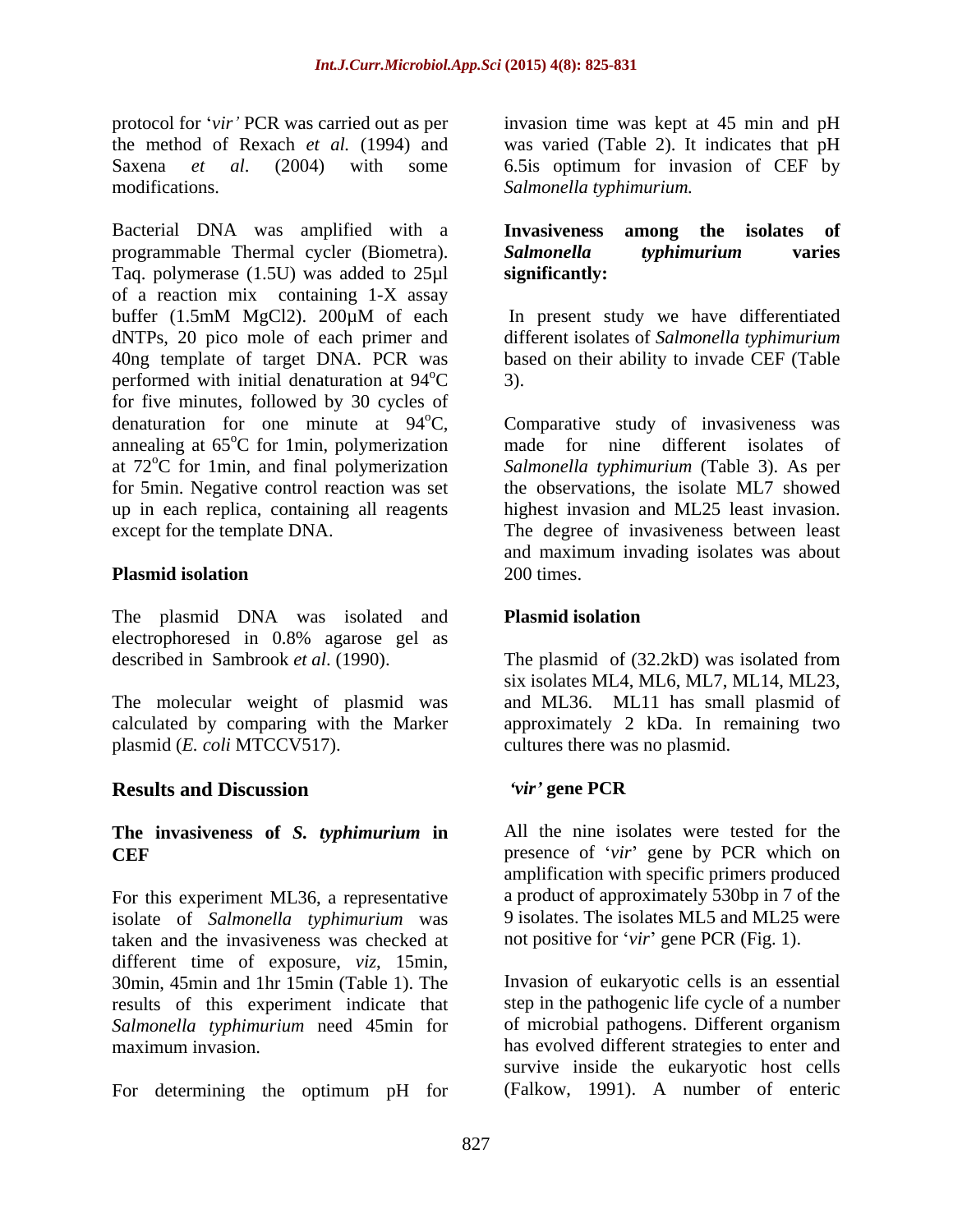protocol for 'vir' PCR was carried out as per

Bacterial DNA was amplified with a programmable Thermal cycler (Biometra). Taq. polymerase (1.5U) was added to  $25\mu$  significantly: of a reaction mix containing 1-X assay buffer (1.5mM MgCl2). 200µM of each dNTPs, 20 pico mole of each primer and different isolates of *Salmonella typhimurium* 40ng template of target DNA. PCR was based on their ability to invade CEF (Table performed with initial denaturation at  $94^{\circ}$ C 3). for five minutes, followed by 30 cycles of denaturation for one minute at  $94^{\circ}$ C, Comparative study of invasiveness was annealing at 65°C for 1min, polymerization made for nine different isolates of at 72<sup>o</sup>C for 1min, and final polymerization Salmonella typhimurium (Table 3). As per for 5min. Negative control reaction was set the observations, the isolate ML7 showed up in each replica, containing all reagents

The plasmid DNA was isolated and **Plasmid isolation** electrophoresed in 0.8% agarose gel as

plasmid (*E. coli* MTCCV517).

## **Results and Discussion**

For this experiment ML36, a representative isolate of *Salmonella typhimurium* was taken and the invasiveness was checked at different time of exposure, *viz*, 15min, 30min, 45min and 1hr 15min (Table 1). The results of this experiment indicate that *Salmonella typhimurium* need 45min for maximum invasion. has evolved different strategies to enter and

For determining the optimum pH for

the method of Rexach *et al.* (1994) and was varied (Table 2). It indicates that pH Saxena *et al*. (2004) with some 6.5is optimum for invasion of CEF by modifications. *Salmonella typhimurium.* invasion time was kept at 45 min and pH

### **Invasiveness among the isolates of** *Salmonella typhimurium* **varies significantly:**

 $\mathrm{^{\circ}C}$  3). In present study we have differentiated 3).

except for the template DNA. The degree of invasiveness between least **Plasmid isolation** 200 times. highest invasion and ML25 least invasion. and maximum invading isolates was about 200 times.

### **Plasmid isolation**

described in Sambrook *et al*. (1990). The plasmid of (32.2kD) was isolated from The molecular weight of plasmid was and ML36. ML11 has small plasmid of calculated by comparing with the Marker approximately 2 kDa. In remaining two six isolates ML4, ML6, ML7, ML14, ML23, cultures there was no plasmid.

### *vir* **gene PCR**

**The invasiveness of** *S. typhimurium* **in CEF**  presence of *vir* gene by PCR which on All the nine isolates were tested for the amplification with specific primers produced a product of approximately 530bp in 7 of the 9 isolates. The isolates ML5 and ML25 were not positive for *vir* gene PCR (Fig. 1).

> Invasion of eukaryotic cells is an essential step in the pathogenic life cycle of a number of microbial pathogens.Different organism survive inside the eukaryotic host cells (Falkow, 1991). A number of enteric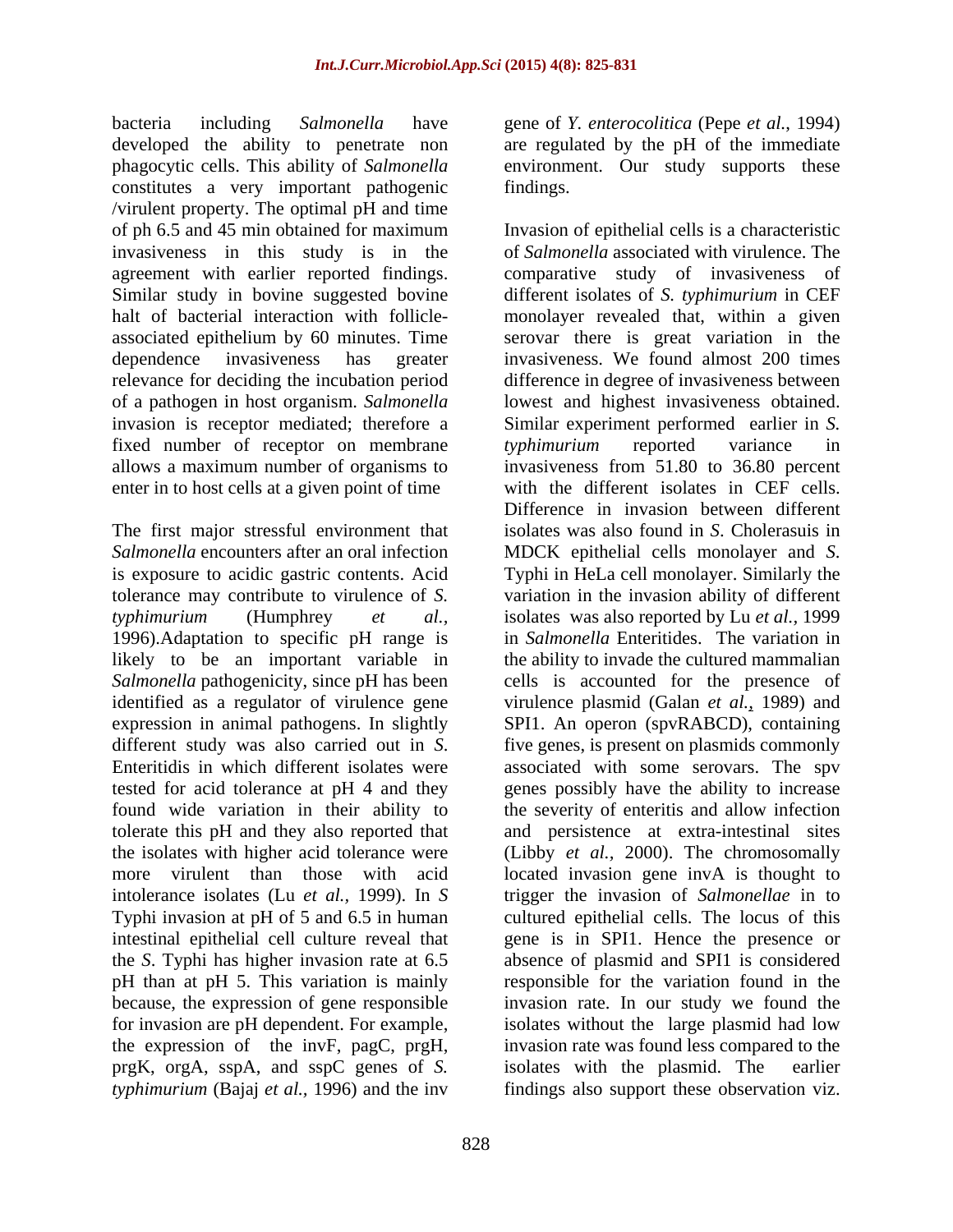bacteria including *Salmonella* have gene of *Y. enterocolitica* (Pepe *et al.*, 1994) developed the ability to penetrate non phagocytic cells. This ability of *Salmonella* environment. Our study supports these constitutes a very important pathogenic /virulent property. The optimal pH and time agreement with earlier reported findings. halt of bacterial interaction with follicle invasion is receptor mediated; therefore a fixed number of receptor on membrane *typhimurium* reported variance in enter in to host cells at a given point of time

The first major stressful environment that *Salmonella* encounters after an oral infection **MDCK** epithelial cells monolayer and *S*. is exposure to acidic gastric contents. Acid 1996).Adaptation to specific pH range is identified as a regulator of virulence gene expression in animal pathogens.In slightly Typhi invasion at pH of 5 and 6.5 in human pH than at pH 5. This variation is mainly the expression of the invF, pagC, prgH, prgK, orgA, sspA, and sspC genes of *S.*

are regulated by the pH of the immediate findings.

of ph 6.5 and 45 min obtained for maximum Invasion of epithelial cells is a characteristic invasiveness in this study is in the of *Salmonella* associated with virulence. The Similar study in bovine suggested bovine different isolates of *S. typhimurium* in CEF associated epithelium by 60 minutes. Time serovar there is great variation in the dependence invasiveness has greater invasiveness. We found almost 200 times relevance for deciding the incubation period difference in degree of invasiveness between of a pathogen in host organism. *Salmonella* lowest and highest invasiveness obtained. allows a maximum number of organisms to invasiveness from 51.80 to 36.80 percent tolerance may contribute to virulence of *S.* variation in the invasion ability of different *typhimurium* (Humphrey *et al.,* isolates was also reported by Lu *et al.,* 1999 likely to be an important variable in the ability to invade the cultured mammalian Salmonella pathogenicity, since pH has been cells is accounted for the presence of different study was also carried out in *S*. five genes, is present on plasmids commonly Enteritidis in which different isolates were associated with some serovars. The spv tested for acid tolerance at pH 4 and they genes possibly have the ability to increase found wide variation in their ability to the severity of enteritis and allow infection tolerate this pH and they also reported that and persistence at extra-intestinal sites the isolates with higher acid tolerance were (Libby *et al.,* 2000). The chromosomally more virulent than those with acid located invasion gene invA is thought to intolerance isolates (Lu *et al.,* 1999).In *S* trigger the invasion of *Salmonellae* in to intestinal epithelial cell culture reveal that gene is in SPI1. Hence the presence or the *S*. Typhi has higher invasion rate at 6.5 absence of plasmid and SPI1 is considered because, the expression of gene responsible invasion rate. In our study we found the for invasion are pH dependent. For example, isolates without the large plasmid had low *typhimurium* (Bajaj *et al.,* 1996) and the inv findings also support these observation viz.comparative study of invasiveness of monolayer revealed that, within a given Similar experiment performed earlier in *S. typhimurium* reported variance in with the different isolates in CEF cells. Difference in invasion between different isolates was also found in *S*. Cholerasuis in MDCK epithelial cells monolayer and *<sup>S</sup>*. Typhi in HeLa cell monolayer. Similarly the in *Salmonella* Enteritides. The variation in virulence plasmid (Galan *et al.,* 1989) and SPI1. An operon (spvRABCD), containing cultured epithelial cells. The locus of this responsible for the variation found in the invasion rate was found less compared to the isolates with the plasmid. The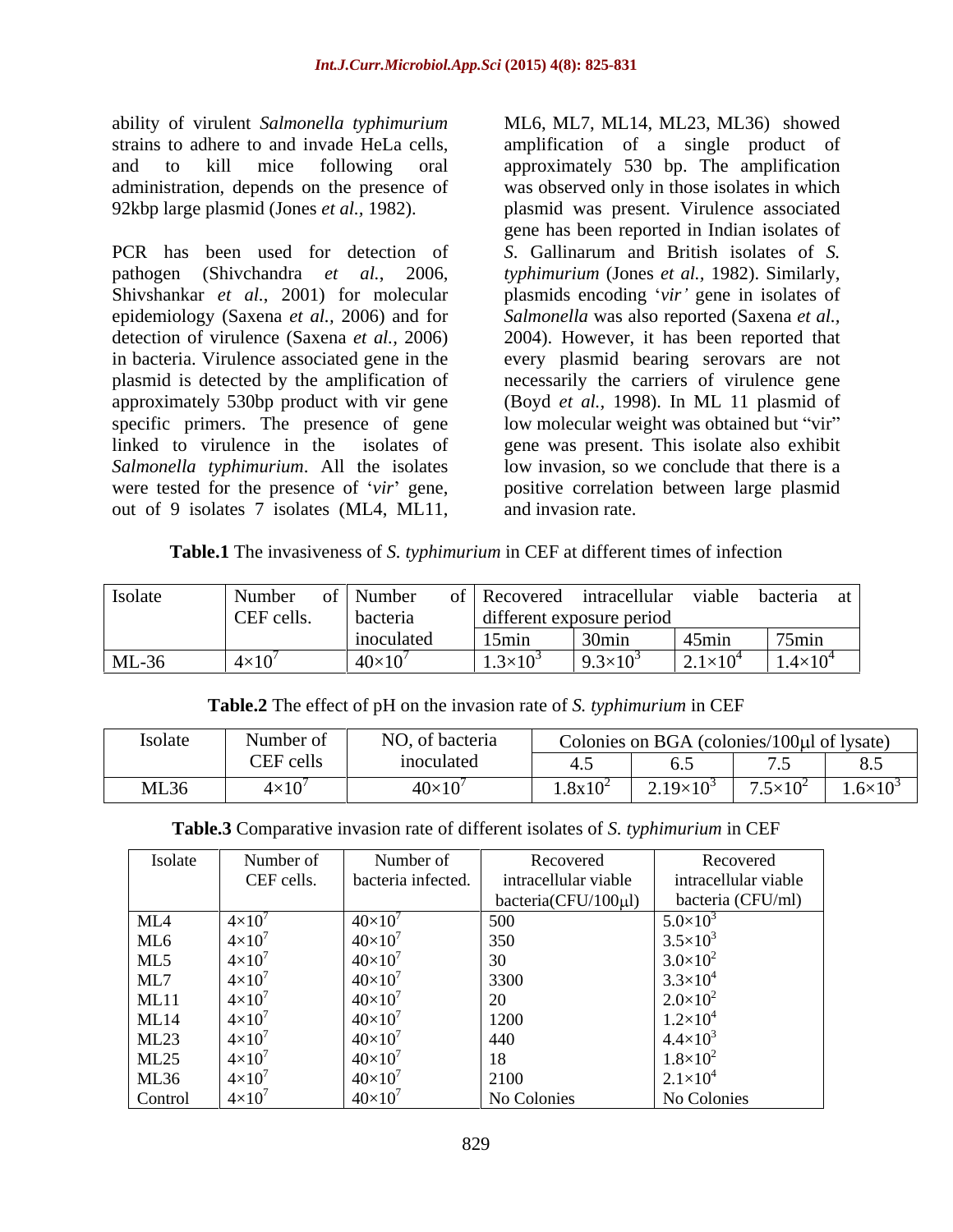ability of virulent *Salmonella typhimurium*

PCR has been used for detection of *S*. Gallinarum and British isolates of *S.* pathogen (Shivchandra *et al.*, 2006, *typhimurium* (Jones *et al.,* 1982). Similarly, Shivshankar *et al.*, 2001) for molecular plasmids encoding 'vir' gene in isolates of epidemiology (Saxena *et al.,* 2006) and for *Salmonella* was also reported (Saxena *et al.,* detection of virulence (Saxena *et al.,* 2006) 2004). However, it has been reported that in bacteria. Virulence associated gene in the every plasmid bearing serovars are not plasmid is detected by the amplification of approximately 530bp product with vir gene (Boyd *et al.,* 1998).In ML 11 plasmid of specific primers. The presence of gene linked to virulence in the isolates of gene was present. This isolate also exhibit *Salmonella typhimurium*. All the isolates low invasion, so we conclude that there is a were tested for the presence of *vir* gene, positive correlation between large plasmid

strains to adhere to and invade HeLa cells, amplification of a single product of and to kill mice following oral approximately 530 bp. The amplification administration, depends on the presence of was observed only in those isolates in which 92kbp large plasmid (Jones *et al.,* 1982). plasmid was present. Virulence associated ability of virulent *Salmonella typhimurium* ML6, ML7, ML14, ML23, ML36) showed for a single product of a single product of a single product of a single product of a single product of a single product of a single product gene has been reported in Indian isolates of necessarily the carriers of virulence gene low molecular weight was obtained but "vir" and invasion rate.

**Table.1** The invasiveness of *S. typhimurium* in CEF at different times of infection

| Isolate | Number       | of   Number   |                   | f Recovered intracellular viable bacteria at |                     |                   |
|---------|--------------|---------------|-------------------|----------------------------------------------|---------------------|-------------------|
|         | CEF cells.   | bacteria      |                   | different exposure period                    |                     |                   |
|         |              | inoculated    | 15min             | 30 <sub>min</sub>                            | 45min               | $75$ min          |
| $ML-36$ | $4\times10'$ | $40\times10'$ | $1.3\times10^{3}$ | $9.3\times10^{3}$                            | $2.1 \times 10^{4}$ | $1.4 \times 10^4$ |

**Table.2** The effect of pH on the invasion rate of *S. typhimurium* in CEF

| Isolate         | $\mathbf{r}$<br>Number 0. | $\mathbf{r}$<br>, of bacteria |                                                            | $\triangle$ olonies on BGA $\ell$ | $\frac{100 \mu}{\text{d}t}$ (colonies/100 $\mu$ l of lysate) |                        |
|-----------------|---------------------------|-------------------------------|------------------------------------------------------------|-----------------------------------|--------------------------------------------------------------|------------------------|
|                 | $\cap$<br>$CEF$ cells     | <i>noculated</i>              |                                                            |                                   |                                                              | $\mathsf{v}\mathsf{v}$ |
| MI 36<br>IVILJU | ∵×1∪                      | $40 \times 10$                | $Q_{-1}$ 1 $\Omega$<br>$\mathbf{v}$ $\mathbf{v}$<br>1.0A10 | $\angle 19\times 10^3$            | $\tau$ $\tau$ 10 <sup>2</sup><br>$7.5\times10$               | $1.6 \times 10^{3}$    |

| Table.3 Compa<br>$\mu$ parative invasion rate of different isolates of S. typhimurium in CEF |  |
|----------------------------------------------------------------------------------------------|--|
|                                                                                              |  |

| Isolate         | Number of       | Number of          | Recovered            | Recovered            |
|-----------------|-----------------|--------------------|----------------------|----------------------|
|                 | CEF cells.      | bacteria infected. | intracellular viable | intracellular viable |
|                 |                 |                    | bacteria(CFU/100µl)  | bacteria (CFU/ml)    |
| ML <sub>4</sub> | $4\times10$     | $40\times10^{7}$   | 500                  | $5.0 \times 10^{3}$  |
| ML6             | $4\times10$     | $40\times10^{7}$   | 350                  | $3.5 \times 10^{3}$  |
| ML5             | $4\times10^{7}$ | $40\times10^{7}$   | 30                   | $3.0\times10^{2}$    |
| ML7             | $4\times10$     | $40\times10$       | 3300                 | $3.3 \times 10^{4}$  |
| ML11            | $4\times10$     | $40\times10^{7}$   | $\Omega$<br>ZU       | $2.0 \times 10^{2}$  |
| ML14            | $4\times10$     | $40\times10^{7}$   | 1200                 | $1.2 \times 10^{4}$  |
| ML23            | $4\times10$     | $40\times10^{7}$   | 440                  | $4.4 \times 10^{3}$  |
| ML25            | $4\times10^{7}$ | $40\times10^{7}$   | 18                   | $1.8\times10^{2}$    |
| ML36            | $4\times10$     | $40\times10^{7}$   | 2100                 | $2.1 \times 10^{4}$  |
| Control         | $4\times10$     | $40\times10^{7}$   | No Colonies          | No Colonies          |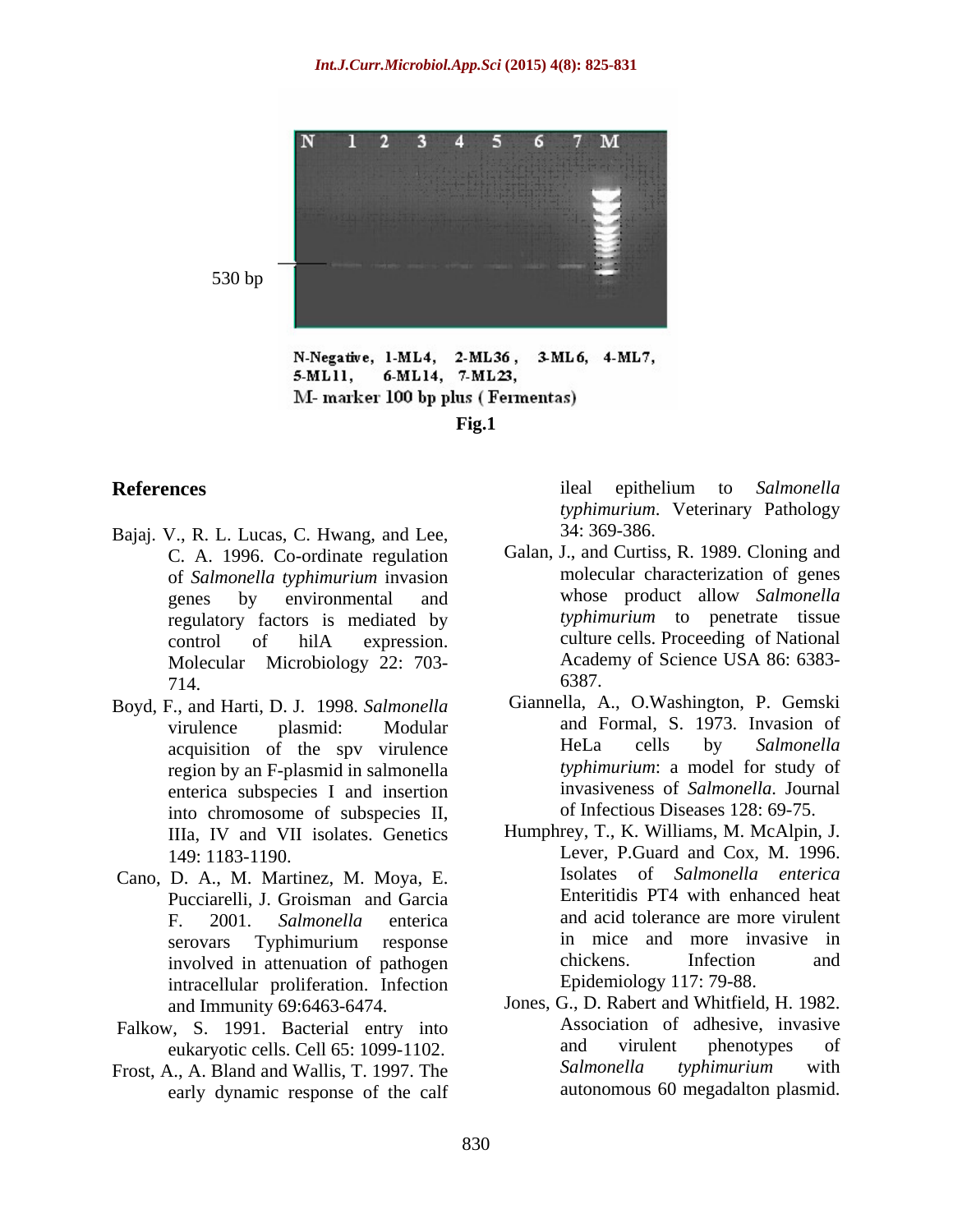

N-Negative, 1-ML4, 2-ML36, 3-ML6, 4-ML7, 6-ML14, 7-ML23, 5-ML11, M- marker 100 bp plus (Fermentas) **Fig.1**

- Bajaj. V., R. L. Lucas, C. Hwang, and Lee, 34: 369-386. C. A. 1996. Co-ordinate regulation regulatory factors is mediated by
- Boyd, F., and Harti, D. J. 1998. *Salmonella* region by an F-plasmid in salmonella enterica subspecies I and insertion into chromosome of subspecies II, IIIa, IV and VII isolates. Genetics
- Cano, D. A., M. Martinez, M. Moya, E. Pucciarelli, J. Groisman and Garcia intracellular proliferation. Infection
- 
- Frost, A., A. Bland and Wallis, T. 1997. The early dynamic response of the calf

**References** and **References** and **References** and **References** and **References** and **References** and **References** and **References** and **References** and **References** and **References** and **References** and **References** and ileal epithelium to *Salmonella typhimurium*. Veterinary Pathology 34: 369-386.

- of *Salmonella typhimurium* invasion genes by environmental and whose product allow *Salmonella* control of hilA expression. Molecular Microbiology 22: 703-<br>
6387. 6387. 714. Galan, J., and Curtiss, R. 1989. Cloning and molecular characterization of genes *typhimurium* to penetrate tissue culture cells. Proceeding of National Academy of Science USA 86: 6383- 6387.
- virulence plasmid: Modular and Formal, S. 1973. Invasion of acquisition of the spy virulence HeLa cells by Salmonella Giannella, A., O.Washington, P. Gemski HeLa cells by *Salmonella typhimurium*: a model for study of invasiveness of *Salmonella*. Journal of Infectious Diseases 128: 69-75.
- 149: 1183-1190. Lever, P.Guard and Cox, M. 1996. F. 2001. *Salmonella* enterica and acid tolerance are more virulent serovars Typhimurium response in mice and more invasive in involved in attenuation of pathogen chickens. Infection and Humphrey, T., K. Williams, M. McAlpin, J. Isolates of *Salmonella enterica* Enteritidis PT4 with enhanced heat in mice and more invasive in chickens. Infection and Epidemiology 117: 79-88.
- and Immunity 69:6463-6474. Jones, G., D. Rabert and Whitfield, H. 1982. Falkow, S. 1991. Bacterial entry into<br>
enkaryotic cells Cell 65:1099-1102 and virulent phenotypes of eukaryotic cells. Cell 65: 1099-1102. Association of adhesive, invasive and virulent phenotypes of *Salmonella typhimurium* with autonomous 60 megadalton plasmid.